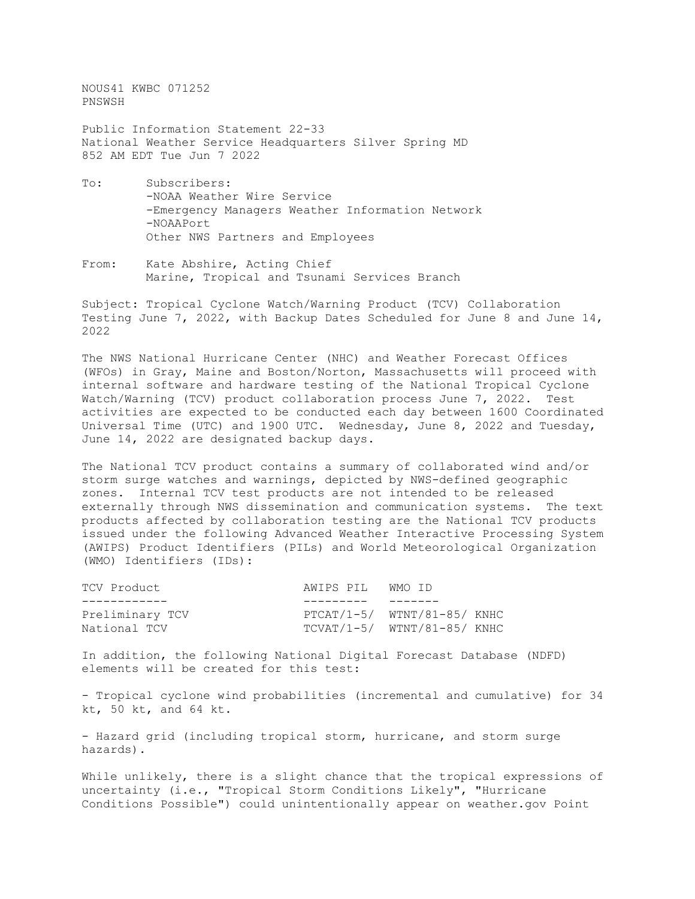NOUS41 KWBC 071252 PNSWSH

Public Information Statement 22-33 National Weather Service Headquarters Silver Spring MD 852 AM EDT Tue Jun 7 2022

- To: Subscribers: -NOAA Weather Wire Service -Emergency Managers Weather Information Network -NOAAPort Other NWS Partners and Employees
- From: Kate Abshire, Acting Chief Marine, Tropical and Tsunami Services Branch

Subject: Tropical Cyclone Watch/Warning Product (TCV) Collaboration Testing June 7, 2022, with Backup Dates Scheduled for June 8 and June 14, 2022

The NWS National Hurricane Center (NHC) and Weather Forecast Offices (WFOs) in Gray, Maine and Boston/Norton, Massachusetts will proceed with internal software and hardware testing of the National Tropical Cyclone Watch/Warning (TCV) product collaboration process June 7, 2022. Test activities are expected to be conducted each day between 1600 Coordinated Universal Time (UTC) and 1900 UTC. Wednesday, June 8, 2022 and Tuesday, June 14, 2022 are designated backup days.

The National TCV product contains a summary of collaborated wind and/or storm surge watches and warnings, depicted by NWS-defined geographic zones. Internal TCV test products are not intended to be released externally through NWS dissemination and communication systems. The text products affected by collaboration testing are the National TCV products issued under the following Advanced Weather Interactive Processing System (AWIPS) Product Identifiers (PILs) and World Meteorological Organization (WMO) Identifiers (IDs):

| TCV Product     | AWIPS PIL WMO ID |                             |
|-----------------|------------------|-----------------------------|
|                 |                  |                             |
| Preliminary TCV |                  | PTCAT/1-5/ WTNT/81-85/ KNHC |
| National TCV    |                  | TCVAT/1-5/ WTNT/81-85/ KNHC |

In addition, the following National Digital Forecast Database (NDFD) elements will be created for this test:

- Tropical cyclone wind probabilities (incremental and cumulative) for 34 kt, 50 kt, and 64 kt.

- Hazard grid (including tropical storm, hurricane, and storm surge hazards).

While unlikely, there is a slight chance that the tropical expressions of uncertainty (i.e., "Tropical Storm Conditions Likely", "Hurricane Conditions Possible") could unintentionally appear on weather.gov Point